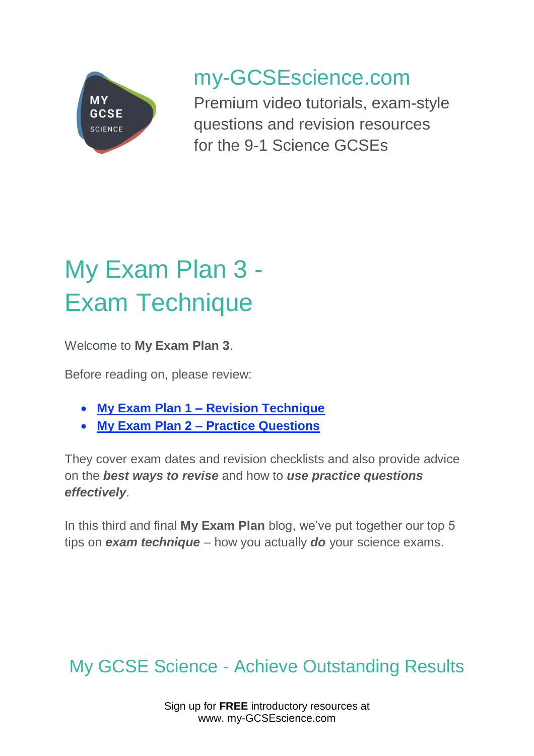

## my-GCSEscience.com

Premium video tutorials, exam-style questions and revision resources for the 9-1 Science GCSEs

# My Exam Plan 3 - Exam Technique

Welcome to **My Exam Plan 3**.

Before reading on, please review:

- **My Exam Plan 1 – [Revision Technique](https://www.my-gcsescience.com/my-exam-plan-1-revision-technique/)**
- **My Exam Plan 2 – Practice [Questions](https://www.my-gcsescience.com/my-exam-plan-2-practice-questions/)**

They cover exam dates and revision checklists and also provide advice on the *best ways to revise* and how to *use practice questions effectively*.

In this third and final **My Exam Plan** blog, we've put together our top 5 tips on *exam technique* – how you actually *do* your science exams.

### My GCSE Science - Achieve Outstanding Results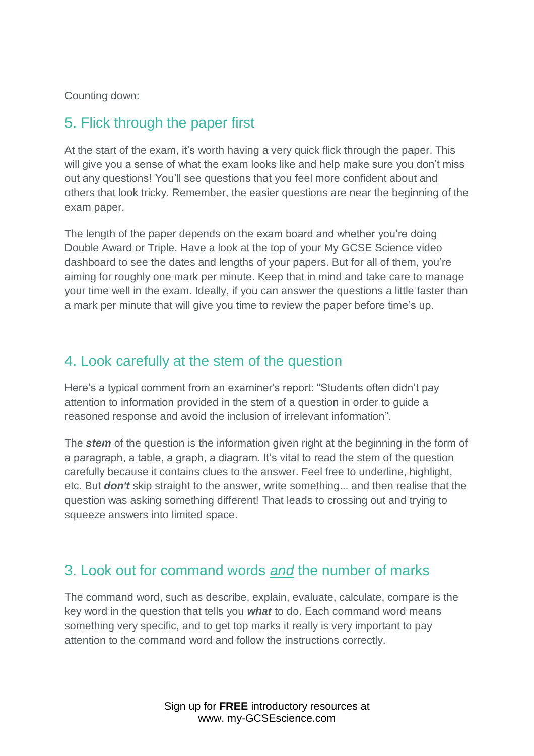Counting down:

#### 5. Flick through the paper first

At the start of the exam, it's worth having a very quick flick through the paper. This will give you a sense of what the exam looks like and help make sure you don't miss out any questions! You'll see questions that you feel more confident about and others that look tricky. Remember, the easier questions are near the beginning of the exam paper.

The length of the paper depends on the exam board and whether you're doing Double Award or Triple. Have a look at the top of your My GCSE Science video dashboard to see the dates and lengths of your papers. But for all of them, you're aiming for roughly one mark per minute. Keep that in mind and take care to manage your time well in the exam. Ideally, if you can answer the questions a little faster than a mark per minute that will give you time to review the paper before time's up.

#### 4. Look carefully at the stem of the question

Here's a typical comment from an examiner's report: "Students often didn't pay attention to information provided in the stem of a question in order to guide a reasoned response and avoid the inclusion of irrelevant information".

The *stem* of the question is the information given right at the beginning in the form of a paragraph, a table, a graph, a diagram. It's vital to read the stem of the question carefully because it contains clues to the answer. Feel free to underline, highlight, etc. But *don't* skip straight to the answer, write something... and then realise that the question was asking something different! That leads to crossing out and trying to squeeze answers into limited space.

#### 3. Look out for command words *and* the number of marks

The command word, such as describe, explain, evaluate, calculate, compare is the key word in the question that tells you *what* to do. Each command word means something very specific, and to get top marks it really is very important to pay attention to the command word and follow the instructions correctly.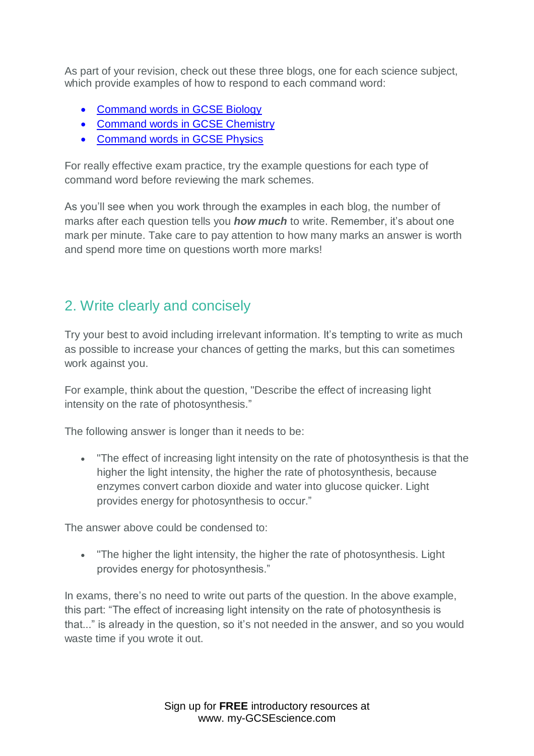As part of your revision, check out these three blogs, one for each science subject, which provide examples of how to respond to each command word:

- [Command words in GCSE Biology](https://www.my-gcsescience.com/biology-command-words-context/)
- [Command words in GCSE Chemistry](https://www.my-gcsescience.com/command-words-in-gcse-chemistry/)
- [Command words in GCSE Physics](https://www.my-gcsescience.com/command-words-in-gcse-physics/)

For really effective exam practice, try the example questions for each type of command word before reviewing the mark schemes.

As you'll see when you work through the examples in each blog, the number of marks after each question tells you *how much* to write. Remember, it's about one mark per minute. Take care to pay attention to how many marks an answer is worth and spend more time on questions worth more marks!

#### 2. Write clearly and concisely

Try your best to avoid including irrelevant information. It's tempting to write as much as possible to increase your chances of getting the marks, but this can sometimes work against you.

For example, think about the question, "Describe the effect of increasing light intensity on the rate of photosynthesis."

The following answer is longer than it needs to be:

• "The effect of increasing light intensity on the rate of photosynthesis is that the higher the light intensity, the higher the rate of photosynthesis, because enzymes convert carbon dioxide and water into glucose quicker. Light provides energy for photosynthesis to occur."

The answer above could be condensed to:

• "The higher the light intensity, the higher the rate of photosynthesis. Light provides energy for photosynthesis."

In exams, there's no need to write out parts of the question. In the above example, this part: "The effect of increasing light intensity on the rate of photosynthesis is that..." is already in the question, so it's not needed in the answer, and so you would waste time if you wrote it out.